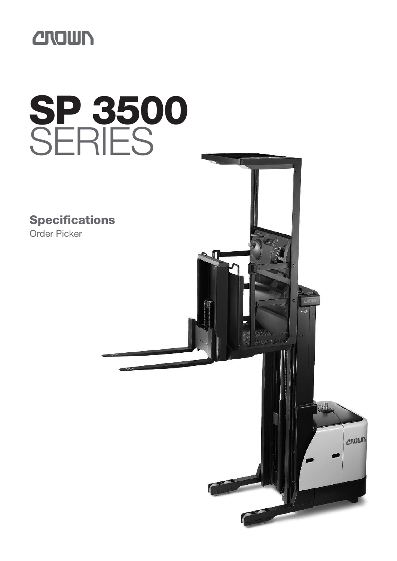

# **SP 3500** SERIES

**Specifications** Order Picker

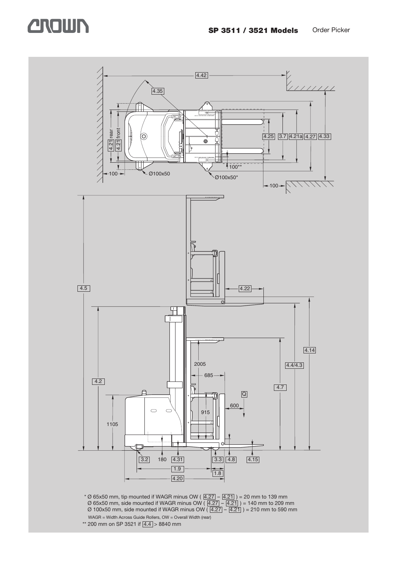### **CROWN**

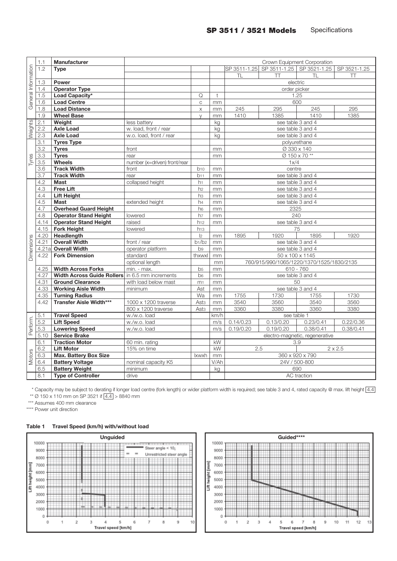|                     | 1.1          | Manufacturer                                           | Crown Equipment Corporation  |                         |            |                                           |                                        |                                |                |  |  |  |  |
|---------------------|--------------|--------------------------------------------------------|------------------------------|-------------------------|------------|-------------------------------------------|----------------------------------------|--------------------------------|----------------|--|--|--|--|
|                     | 1.2          | <b>Type</b>                                            |                              |                         |            |                                           | SP 3511-1.25 SP 3511-1.25 SP 3521-1.25 |                                | SP 3521-1.25   |  |  |  |  |
|                     |              |                                                        |                              |                         |            | TL                                        | Π                                      | TL                             | TT             |  |  |  |  |
|                     | 1.3          | Power                                                  |                              |                         |            |                                           | electric                               |                                |                |  |  |  |  |
| General Information | 1.4          | <b>Operator Type</b>                                   |                              |                         |            |                                           | order picker                           |                                |                |  |  |  |  |
|                     | 1.5          | Load Capacity*                                         |                              | Q                       | $\ddagger$ |                                           | 1.25                                   |                                |                |  |  |  |  |
|                     | 1.6          | <b>Load Centre</b>                                     |                              | $\mathsf{C}$            | mm         | 600                                       |                                        |                                |                |  |  |  |  |
|                     | 1.8          | <b>Load Distance</b>                                   |                              | X                       | mm         | 245                                       | 295                                    | 245                            | 295            |  |  |  |  |
|                     | 1.9          | <b>Wheel Base</b>                                      |                              | $\vee$                  | mm         | 1410                                      | 1385                                   | 1410                           | 1385           |  |  |  |  |
| Weights             | 2.1          | Weight                                                 | less battery                 |                         | kg         |                                           | see table 3 and 4                      |                                |                |  |  |  |  |
|                     | 2.2          | <b>Axle Load</b>                                       | w. load, front / rear        |                         | kg         |                                           | see table 3 and 4                      |                                |                |  |  |  |  |
|                     | 2.3          | <b>Axle Load</b>                                       | w.o. load, front / rear      |                         | kg         |                                           | see table 3 and 4                      |                                |                |  |  |  |  |
|                     | 3.1          | <b>Tyres Type</b>                                      |                              |                         |            |                                           |                                        | polyurethane                   |                |  |  |  |  |
|                     | 3.2          | <b>Tyres</b>                                           | front                        |                         | mm         |                                           | Ø 330 x 140                            |                                |                |  |  |  |  |
|                     | 3.3          | <b>Tyres</b>                                           | rear                         |                         | mm         |                                           |                                        | Ø 150 x 70 **                  |                |  |  |  |  |
| Tyres               | 3.5          | <b>Wheels</b>                                          | number (x=driven) front/rear |                         |            |                                           | 1x/4                                   |                                |                |  |  |  |  |
|                     | 3.6          | <b>Track Width</b>                                     | front                        | b <sub>10</sub>         | mm         |                                           | centre                                 |                                |                |  |  |  |  |
|                     | 3.7          | <b>Track Width</b>                                     | rear                         | b11                     | mm         |                                           | see table 3 and 4                      |                                |                |  |  |  |  |
|                     | 4.2          | <b>Mast</b>                                            | collapsed height             | h <sub>1</sub>          | mm         | see table 3 and 4                         |                                        |                                |                |  |  |  |  |
|                     | 4.3          | <b>Free Lift</b>                                       |                              | h2                      | mm         |                                           | see table 3 and 4                      |                                |                |  |  |  |  |
|                     | 4.4          | <b>Lift Height</b>                                     |                              | h <sub>3</sub>          | mm         |                                           | see table 3 and 4                      |                                |                |  |  |  |  |
|                     | 4.5          | <b>Mast</b>                                            | extended height              | h <sub>4</sub>          | mm         |                                           | see table 3 and 4                      |                                |                |  |  |  |  |
|                     | 4.7          | <b>Overhead Guard Height</b>                           |                              | h <sub>6</sub>          | mm         | 2325                                      |                                        |                                |                |  |  |  |  |
|                     | 4.8          | <b>Operator Stand Height</b>                           | lowered                      | h7                      | mm         | 240                                       |                                        |                                |                |  |  |  |  |
|                     | 4.14         | <b>Operator Stand Height</b>                           | raised                       | h <sub>12</sub>         | mm         | see table 3 and 4<br>75                   |                                        |                                |                |  |  |  |  |
|                     | 4.15         | <b>Fork Height</b>                                     | lowered                      | h <sub>13</sub>         |            |                                           |                                        |                                |                |  |  |  |  |
|                     | 4.20         | Headlength                                             |                              | 2                       | mm         | 1895                                      | 1920                                   | 1895                           | 1920           |  |  |  |  |
|                     | 4.21         | <b>Overall Width</b>                                   | front / rear                 | b1/b2<br>b <sub>9</sub> | mm<br>mm   |                                           | see table 3 and 4                      |                                |                |  |  |  |  |
| Dimensions          | 4.21a        | <b>Overall Width</b>                                   | operator platform            | see table 3 and 4       |            |                                           |                                        |                                |                |  |  |  |  |
|                     | 4.22         | <b>Fork Dimension</b>                                  | standard                     | thxwxl                  | mm         | $\overline{50}$ x 100 x 1145              |                                        |                                |                |  |  |  |  |
|                     |              |                                                        | optional length              |                         | mm         | 760/915/990/1065/1220/1370/1525/1830/2135 |                                        |                                |                |  |  |  |  |
|                     | 4.25         | <b>Width Across Forks</b>                              | min. - max.                  | b <sub>5</sub>          | mm         | $610 - 760$<br>see table 3 and 4          |                                        |                                |                |  |  |  |  |
|                     | 4.27         | <b>Width Across Guide Rollers</b> in 6.5 mm increments |                              | b <sub>6</sub>          | mm         |                                           |                                        |                                |                |  |  |  |  |
|                     | 4.31<br>4.33 | <b>Ground Clearance</b><br><b>Working Aisle Width</b>  | with load below mast         | m <sub>1</sub><br>Ast   | mm         |                                           | see table 3 and 4                      | 50                             |                |  |  |  |  |
|                     | 4.35         | <b>Turning Radius</b>                                  | minimum                      | Wa                      | mm<br>mm   | 1755                                      | 1730                                   | 1755                           | 1730           |  |  |  |  |
|                     | 4.42         | <b>Transfer Aisle Width***</b>                         | 1000 x 1200 traverse         | Ast <sub>3</sub>        | mm         | 3540                                      | 3560                                   | 3540                           | 3560           |  |  |  |  |
|                     |              |                                                        | 800 x 1200 traverse          | Ast <sub>3</sub>        | mm         | 3360                                      | 3380                                   | 3360                           | 3380           |  |  |  |  |
|                     | 5.1          | <b>Travel Speed</b>                                    | w./w.o. load                 |                         | km/h       |                                           | see table 1                            |                                |                |  |  |  |  |
|                     | 5.2          | <b>Lift Speed</b>                                      | w./w.o. load                 |                         | m/s        | 0.14/0.23                                 | 0.13/0.20                              | 0.23/0.41                      | 0.22/0.36      |  |  |  |  |
| Perform.            | 5.3          | <b>Lowering Speed</b>                                  | w./w.o. load                 |                         | m/s        | 0.19/0.20                                 | 0.19/0.20                              | 0.38/0.41                      | 0.38/0.41      |  |  |  |  |
|                     | 5.10         | <b>Service Brake</b>                                   |                              |                         |            |                                           |                                        | electro-magnetic, regenerative |                |  |  |  |  |
|                     | 6.1          | <b>Traction Motor</b>                                  | 60 min. rating               |                         | kW         |                                           | 3.9                                    |                                |                |  |  |  |  |
|                     | 6.2          | <b>Lift Motor</b>                                      | 15% on time                  |                         | kW         | 2.5                                       |                                        |                                | $2 \times 2.5$ |  |  |  |  |
|                     | 6.3          | <b>Max. Battery Box Size</b>                           |                              | <b>Ixwxh</b>            | mm         |                                           |                                        | 360 x 920 x 790                |                |  |  |  |  |
| Motors              | 6.4          | <b>Battery Voltage</b>                                 | nominal capacity K5          |                         | V/Ah       |                                           | 24V / 500-800                          |                                |                |  |  |  |  |
|                     | 6.5          | <b>Battery Weight</b>                                  | minimum                      |                         | kg         |                                           |                                        | 690                            |                |  |  |  |  |
|                     | 8.1          | <b>Type of Controller</b>                              | drive                        |                         |            |                                           |                                        | <b>AC</b> traction             |                |  |  |  |  |
|                     |              |                                                        |                              |                         |            |                                           |                                        |                                |                |  |  |  |  |

\* Capacity may be subject to derating if longer load centre (fork length) or wider platform width is required; see table 3 and 4, rated capacity @ max. lift height  $\boxed{4.4}$ \*\* Ø 150 x 110 mm on SP 3521 if  $\frac{1}{4.4}$  > 8840 mm

\*\*\* Assumes 400 mm clearance

\*\*\*\* Power unit direction





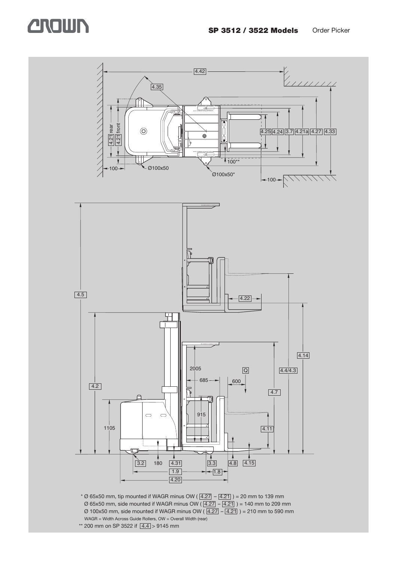## **CROWN**



\*\* 200 mm on SP 3522 if  $\boxed{4.4}$  > 9145 mm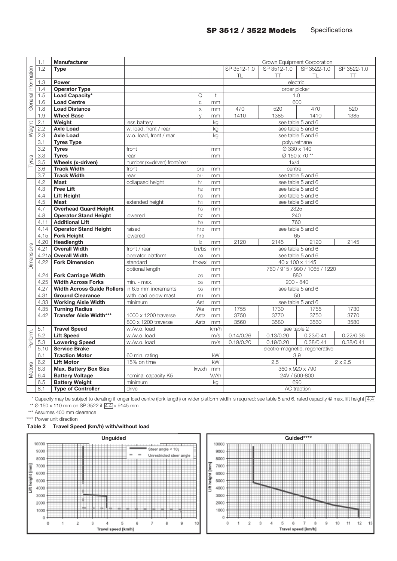|                     | 1.1              | <b>Manufacturer</b>                                    |                              | Crown Equipment Corporation       |                              |                                      |               |                    |                |  |  |  |
|---------------------|------------------|--------------------------------------------------------|------------------------------|-----------------------------------|------------------------------|--------------------------------------|---------------|--------------------|----------------|--|--|--|
|                     | 1.2              | <b>Type</b>                                            |                              |                                   |                              | SP 3512-1.0                          | SP 3512-1.0   | SP 3522-1.0        | SP 3522-1.0    |  |  |  |
|                     |                  |                                                        |                              |                                   |                              | TL                                   | $\top$        | TL                 | π              |  |  |  |
| General Information | 1.3              | Power                                                  |                              |                                   |                              |                                      | electric      |                    |                |  |  |  |
|                     | 1.4              | <b>Operator Type</b>                                   |                              |                                   |                              |                                      | order picker  |                    |                |  |  |  |
|                     | 1.5              | Load Capacity*                                         |                              | Q                                 | $\mathsf{t}$                 | 1.0                                  |               |                    |                |  |  |  |
|                     | 1.6              | <b>Load Centre</b>                                     |                              | $\mathsf C$                       | mm                           |                                      | 600           |                    |                |  |  |  |
|                     | 1.8              | <b>Load Distance</b>                                   |                              | $\mathsf X$                       | mm                           | 470                                  | 520           | 470                | 520            |  |  |  |
|                     | 1.9              | <b>Wheel Base</b>                                      |                              | $\vee$                            | mm                           | 1410                                 | 1385          | 1410               | 1385           |  |  |  |
| Weight              | 2.1              | Weight                                                 | less battery                 |                                   | kg                           |                                      |               | see table 5 and 6  |                |  |  |  |
|                     | 2.2              | <b>Axle Load</b>                                       | w. load, front / rear        |                                   | kg                           |                                      |               | see table 5 and 6  |                |  |  |  |
|                     | 2.3              | <b>Axle Load</b>                                       | w.o. load, front / rear      |                                   | kg                           |                                      |               | see table 5 and 6  |                |  |  |  |
|                     | 3.1              | <b>Tyres Type</b>                                      |                              |                                   |                              |                                      | polyurethane  |                    |                |  |  |  |
|                     | 3.2              | <b>Tyres</b>                                           | front                        |                                   | mm                           |                                      | Ø 330 x 140   |                    |                |  |  |  |
|                     | 3.3              | <b>Tyres</b>                                           | rear                         |                                   | mm                           |                                      |               | Ø 150 x 70 **      |                |  |  |  |
| Tyres               | 3.5              | Wheels (x-driven)                                      | number (x=driven) front/rear |                                   |                              |                                      | 1x/4          |                    |                |  |  |  |
|                     | 3.6              | <b>Track Width</b>                                     | front                        | b10                               | mm                           |                                      | centre        |                    |                |  |  |  |
|                     | 3.7              | <b>Track Width</b>                                     | rear                         | b11                               | mm                           |                                      |               | see table 5 and 6  |                |  |  |  |
|                     | 4.2              | <b>Mast</b>                                            | collapsed height             | h <sub>1</sub>                    | mm                           |                                      |               | see table 5 and 6  |                |  |  |  |
|                     | 4.3              | <b>Free Lift</b>                                       |                              | h <sub>2</sub>                    | mm                           | see table 5 and 6                    |               |                    |                |  |  |  |
|                     | 4.4              | <b>Lift Height</b>                                     |                              | hз                                | mm                           | see table 5 and 6                    |               |                    |                |  |  |  |
|                     | 4.5              | <b>Mast</b>                                            | extended height              | h4                                | mm                           | see table 5 and 6                    |               |                    |                |  |  |  |
|                     | 4.7              | <b>Overhead Guard Height</b>                           |                              | h <sub>6</sub>                    | mm                           | 2325                                 |               |                    |                |  |  |  |
|                     | 4.8              | <b>Operator Stand Height</b>                           | lowered                      | h7                                | mm                           | 240<br>760                           |               |                    |                |  |  |  |
|                     | 4.11<br>4.14     | <b>Additional Lift</b><br><b>Operator Stand Height</b> | raised                       | h <sub>9</sub><br>h <sub>12</sub> | mm                           | see table 5 and 6                    |               |                    |                |  |  |  |
|                     | 4.15             |                                                        | lowered                      | h <sub>13</sub>                   | mm                           | 65                                   |               |                    |                |  |  |  |
|                     | 4.20             | <b>Fork Height</b><br>Headlength                       |                              | 2                                 | mm                           | 2120                                 | 2120          | 2145               |                |  |  |  |
|                     | 4.21             | <b>Overall Width</b>                                   | front / rear                 | $b_1/b_2$                         | mm                           |                                      | 2145          | see table 5 and 6  |                |  |  |  |
| Dimensions          | 4.21a            | <b>Overall Width</b>                                   | operator platform            | b <sub>9</sub>                    | mm                           | see table 5 and 6                    |               |                    |                |  |  |  |
|                     | 4.22             | <b>Fork Dimension</b>                                  | standard                     | thxwxl                            | mm                           | 40 x 100 x 1145                      |               |                    |                |  |  |  |
|                     |                  |                                                        | optional length              |                                   | mm                           |                                      |               |                    |                |  |  |  |
|                     | 4.24             | <b>Fork Carriage Width</b>                             |                              | bз                                | mm                           | 760 / 915 / 990 / 1065 / 1220<br>880 |               |                    |                |  |  |  |
|                     | 4.25             | <b>Width Across Forks</b>                              | min. - max.                  | b <sub>5</sub>                    | mm                           | $200 - 840$                          |               |                    |                |  |  |  |
|                     | 4.27             | <b>Width Across Guide Rollers</b> in 6.5 mm increments |                              | b6                                | mm                           |                                      |               | see table 5 and 6  |                |  |  |  |
|                     | 4.31             | <b>Ground Clearance</b>                                | with load below mast         | m <sub>1</sub>                    | mm                           |                                      | 50            |                    |                |  |  |  |
|                     | 4.33             | <b>Working Aisle Width</b>                             | minimum                      | Ast                               | mm                           |                                      |               | see table 5 and 6  |                |  |  |  |
|                     | 4.35             | <b>Turning Radius</b>                                  |                              | Wa                                | mm                           | 1755                                 | 1730          | 1755               | 1730           |  |  |  |
|                     | 4.42             | <b>Transfer Aisle Width***</b>                         | 1000 x 1200 traverse         | Ast <sub>3</sub>                  | mm                           | 3750                                 | 3770          | 3750               | 3770           |  |  |  |
|                     |                  |                                                        | 800 x 1200 traverse          | Ast <sub>3</sub>                  | mm                           | 3560                                 | 3580          | 3560               | 3580           |  |  |  |
|                     | $\overline{5.1}$ | <b>Travel Speed</b>                                    | w./w.o. load                 |                                   | km/h                         |                                      | see table 2   |                    |                |  |  |  |
| Perform.            | 5.2              | <b>Lift Speed</b>                                      | w./w.o. load                 |                                   | m/s                          | 0.14/0.26                            | 0.13/0.20     | 0.23/0.41          | 0.22/0.36      |  |  |  |
|                     | 5.3              | <b>Lowering Speed</b>                                  | w./w.o. load                 |                                   | m/s                          | 0.19/0.20                            | 0.19/0.20     | 0.38/0.41          | 0.38/0.41      |  |  |  |
|                     | 5.10             | <b>Service Brake</b>                                   |                              |                                   |                              | electro-magnetic, regenerative       |               |                    |                |  |  |  |
|                     | 6.1              | <b>Traction Motor</b>                                  | 60 min. rating               |                                   | kW                           |                                      | 3.9           |                    |                |  |  |  |
|                     | 6.2              | <b>Lift Motor</b>                                      | 15% on time                  |                                   | kW                           |                                      | 2.5           |                    | $2 \times 2.5$ |  |  |  |
| Motors              | 6.3              | <b>Max. Battery Box Size</b>                           |                              | Ixwxh                             | mm                           |                                      |               | 360 x 920 x 790    |                |  |  |  |
|                     | 6.4              | <b>Battery Voltage</b>                                 | nominal capacity K5          |                                   | $\overline{V}/\overline{Ah}$ |                                      | 24V / 500-800 |                    |                |  |  |  |
|                     | 6.5              | <b>Battery Weight</b>                                  | minimum                      |                                   | kg                           |                                      | 690           |                    |                |  |  |  |
|                     | 8.1              | <b>Type of Controller</b>                              | drive                        |                                   |                              |                                      |               | <b>AC</b> traction |                |  |  |  |

\* Capacity may be subject to derating if longer load centre (fork length) or wider platform width is required; see table 5 and 6, rated capacity @ max. lift height [4.4] \*\* Ø 150 x 110 mm on SP 3522 if  $\boxed{4.4}$  > 9145 mm

\*\*\* Assumes 400 mm clearance

\*\*\*\* Power unit direction

#### **Table 2 Travel Speed (km/h) with/without load**



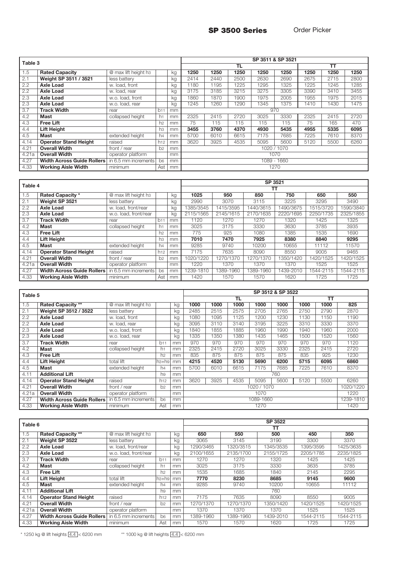**SP 3500 Series** Order Picker

| Table 3 |                                   |                                  |                 |               |             | SP 3511 & SP 3521 |      |      |      |      |      |      |  |
|---------|-----------------------------------|----------------------------------|-----------------|---------------|-------------|-------------------|------|------|------|------|------|------|--|
|         |                                   |                                  |                 |               |             |                   | TL   |      |      |      | тт   |      |  |
| 1.5     | <b>Rated Capacity</b>             | @ max lift height h <sub>3</sub> |                 | kg            | 1250        | 1250              | 1250 | 1250 | 1250 | 1250 | 1250 | 1250 |  |
| 2.1     | Weight SP 3511 / 3521             | less battery                     |                 | kg            | 2414        | 2440              | 2500 | 2630 | 2690 | 2675 | 2715 | 2800 |  |
| 2.2     | <b>Axle Load</b>                  | w. load, front                   |                 | kg            | 1180        | 1195              | 1225 | 1295 | 1325 | 1225 | 1245 | 1285 |  |
| 2.2     | <b>Axle Load</b>                  | w. load, rear                    |                 | kg            | 3175        | 3185              | 3215 | 3275 | 3305 | 3390 | 3410 | 3455 |  |
| 2.3     | <b>Axle Load</b>                  | w.o. load, front                 |                 | kg            | 1860        | 1870              | 1900 | 1975 | 2005 | 1955 | 1975 | 2015 |  |
| 2.3     | <b>Axle Load</b>                  | w.o. load, rear                  |                 | kg            | 1245        | 1260              | 1290 | 1345 | 1375 | 1410 | 1430 | 1475 |  |
| 3.7     | <b>Track Width</b>                | rear                             | b11             | mm            |             |                   |      |      | 970  |      |      |      |  |
| 4.2     | <b>Mast</b>                       | collapsed height                 | h1              | mm            | 2325        | 2415              | 2720 | 3025 | 3330 | 2325 | 2415 | 2720 |  |
| 4.3     | <b>Free Lift</b>                  |                                  | h2              | mm            | 75          | 115               | 115  | 115  | 115  | 75   | 165  | 470  |  |
| 4.4     | <b>Lift Height</b>                |                                  | hз              | mm            | 3455        | 3760              | 4370 | 4930 | 5435 | 4955 | 5335 | 6095 |  |
| 4.5     | Mast                              | extended height                  | h <sub>4</sub>  | mm            | 5700        | 6010              | 6615 | 7175 | 7685 | 7225 | 7610 | 8370 |  |
| 4.14    | <b>Operator Stand Height</b>      | raised                           | h <sub>12</sub> | mm            | 3620        | 3925              | 4535 | 5095 | 5600 | 5120 | 5500 | 6260 |  |
| 4.21    | <b>Overall Width</b>              | front / rear                     | b <sub>2</sub>  | mm            | 1020 / 1070 |                   |      |      |      |      |      |      |  |
| 4.21a   | <b>Overall Width</b>              | operator platform                |                 | <sub>mm</sub> | 1070        |                   |      |      |      |      |      |      |  |
| 4.27    | <b>Width Across Guide Rollers</b> | in 6.5 mm increments             | b <sub>6</sub>  | mm            | 1089 - 1660 |                   |      |      |      |      |      |      |  |
| 4.33    | <b>Working Aisle Width</b>        | minimum                          | Ast             | mm            |             |                   |      |      | 1270 |      |      |      |  |

| Table 4 |                                   | SP 3521               |                |    |           |           |           |           |           |           |
|---------|-----------------------------------|-----------------------|----------------|----|-----------|-----------|-----------|-----------|-----------|-----------|
|         |                                   |                       | тт             |    |           |           |           |           |           |           |
| 1.5     | <b>Rated Capacity *</b>           | @ max lift height h3  |                | kg | 1025      | 950       | 850       | 750       | 650       | 550       |
| 2.1     | Weight SP 3521                    | less battery          |                | kg | 2990      | 3070      | 3115      | 3225      | 3295      | 3490      |
| 2.2     | <b>Axle Load</b>                  | w. load, front/rear   |                | kg | 1385/3545 | 1415/3595 | 1440/3615 | 1490/3675 | 1515/3720 | 1590/3840 |
| 2.3     | <b>Axle Load</b>                  | w.o. load. front/rear |                | kg | 2115/1565 | 2145/1615 | 2170/1635 | 2220/1695 | 2250/1735 | 2325/1855 |
| 3.7     | <b>Track Width</b>                | rear                  | b11            | mm | 1120      | 1270      | 1270      | 1320      | 1425      | 1325      |
| 4.2     | Mast                              | collapsed height      | h1             | mm | 3025      | 3175      | 3330      | 3630      | 3785      | 3935      |
| 4.3     | <b>Free Lift</b>                  |                       | h <sub>2</sub> | mm | 775       | 925       | 1080      | 1385      | 1535      | 1690      |
| 4.4     | Lift Height                       |                       | hз             | mm | 7010      | 7470      | 7925      | 8380      | 8840      | 9295      |
| 4.5     | <b>Mast</b>                       | extended height       | h <sub>4</sub> | mm | 9285      | 9740      | 10200     | 10655     | 11112     | 11570     |
| 4.14    | <b>Operator Stand Height</b>      | raised                | h12            | mm | 7175      | 7635      | 8090      | 8550      | 9005      | 9465      |
| 4.21    | <b>Overall Width</b>              | front / rear          | b <sub>2</sub> | mm | 1020/1220 | 1270/1370 | 1270/1370 | 1350/1420 | 1420/1525 | 1420/1525 |
| 4.21a   | <b>Overall Width</b>              | operator platform     |                | mm | 1220      | 1370      | 1370      | 1370      | 1525      | 1525      |
| 4.27    | <b>Width Across Guide Rollers</b> | in 6.5 mm increments  | b <sub>6</sub> | mm | 1239-1810 | 1389-1960 | 1389-1960 | 1439-2010 | 1544-2115 | 1544-2115 |
| 4.33    | <b>Working Aisle Width</b>        | minimum               | Ast            | mm | 1420      | 1570      | 1570      | 1620      | 1725      | 1725      |

| Table 5 |                                   |                      |                   |    | SP 3512 & SP 3522        |      |           |      |      |      |      |      |
|---------|-----------------------------------|----------------------|-------------------|----|--------------------------|------|-----------|------|------|------|------|------|
|         |                                   |                      |                   |    |                          |      | <b>TL</b> | TТ   |      |      |      |      |
| 1.5     | <b>Rated Capacity **</b>          | @ max lift height h3 |                   | kg | 1000                     | 1000 | 1000      | 1000 | 1000 | 1000 | 1000 | 825  |
| 2.1     | Weight SP 3512 / 3522             | less battery         |                   | kg | 2485                     | 2515 | 2575      | 2705 | 2765 | 2750 | 2790 | 2870 |
| 2.2     | <b>Axle Load</b>                  | w. load, front       |                   | kg | 1080                     | 1095 | 1125      | 1200 | 1230 | 1130 | 1150 | 1190 |
| 2.2     | <b>Axle Load</b>                  | w. load, rear        |                   | kg | 3095                     | 3110 | 3140      | 3195 | 3225 | 3310 | 3330 | 3370 |
| 2.3     | <b>Axle Load</b>                  | w.o. load, front     |                   | kg | 1840                     | 1855 | 1885      | 1960 | 1990 | 1940 | 1960 | 2000 |
| 2.3     | <b>Axle Load</b>                  | w.o. load, rear      |                   | kg | 1335                     | 1350 | 1380      | 1435 | 1465 | 1500 | 1520 | 1560 |
| 3.7     | <b>Track Width</b>                | rear                 | b11               | mm | 970                      | 970  | 970       | 970  | 970  | 970  | 970  | 1120 |
| 4.2     | Mast                              | collapsed height     | h1                | mm | 2325                     | 2415 | 2720      | 3025 | 3330 | 2325 | 2415 | 2720 |
| 4.3     | <b>Free Lift</b>                  |                      | h2                | mm | 835                      | 875  | 875       | 875  | 875  | 835  | 925  | 1230 |
| 4.4     | <b>Lift Height</b>                | total lift           | h <sub>3+h9</sub> | mm | 4215                     | 4520 | 5130      | 5690 | 6200 | 5715 | 6095 | 6860 |
| 4.5     | <b>Mast</b>                       | extended height      | h4                | mm | 5700                     | 6010 | 6615      | 7175 | 7685 | 7225 | 7610 | 8370 |
| 4.11    | <b>Additional Lift</b>            |                      | h <sub>9</sub>    | mm |                          |      |           |      | 760  |      |      |      |
| 4.14    | <b>Operator Stand Height</b>      | raised               | h12               | mm | 3620                     | 3925 | 4535      | 5095 | 5600 | 5120 | 5500 | 6260 |
| 4.21    | <b>Overall Width</b>              | front / rear         | b <sub>2</sub>    | mm | 1020/1220<br>1020 / 1070 |      |           |      |      |      |      |      |
| 4.21a   | <b>Overall Width</b>              | operator platform    |                   | mm | 1220<br>1070             |      |           |      |      |      |      |      |
| 4.27    | <b>Width Across Guide Rollers</b> | in 6.5 mm increments | b6                | mm | 1089-1660<br>1239-1810   |      |           |      |      |      |      |      |
| 4.33    | <b>Working Aisle Width</b>        | minimum              | Ast               | mm |                          |      |           | 1270 |      |      |      | 1420 |

| Table 6 |                              |                                  | SP 3522        |    |           |           |           |           |           |  |
|---------|------------------------------|----------------------------------|----------------|----|-----------|-----------|-----------|-----------|-----------|--|
|         |                              | TТ                               |                |    |           |           |           |           |           |  |
| 1.5     | <b>Rated Capacity **</b>     | @ max lift height h <sub>3</sub> |                | kg | 650       | 550       | 500       | 450       | 350       |  |
| 2.1     | Weight SP 3522               | less battery                     |                | kg | 3065      | 3145      | 3190      | 3300      | 3370      |  |
| 2.2     | <b>Axle Load</b>             | w. load, front/rear              |                | kg | 1290/3465 | 1320/3515 | 1345/3535 | 1395/3595 | 1425/3635 |  |
| 2.3     | <b>Axle Load</b>             | w.o. load. front/rear            |                | kg | 2100/1655 | 2135/1700 | 2155/1725 | 2205/1785 | 2235/1825 |  |
| 3.7     | <b>Track Width</b>           | rear                             | b11            | mm | 1270      | 1270      | 1320      | 1425      | 1425      |  |
| 4.2     | <b>Mast</b>                  | collapsed height                 | h <sub>1</sub> | mm | 3025      | 3175      | 3330      | 3635      | 3785      |  |
| 4.3     | <b>Free Lift</b>             |                                  | h2             | mm | 1535      | 1685      | 1840      | 2145      | 2295      |  |
| 4.4     | <b>Lift Height</b>           | total lift                       | $h3+h9$        | mm | 7770      | 8230      | 8685      | 9145      | 9600      |  |
| 4.5     | Mast                         | extended height                  | h <sub>4</sub> | mm | 9285      | 9740      | 10200     | 10655     | 11112     |  |
| 4.11    | <b>Additional Lift</b>       |                                  | h9             | mm |           |           | 760       |           |           |  |
| 4.14    | <b>Operator Stand Height</b> | raised                           | h12            | mm | 7175      | 7635      | 8090      | 8550      | 9005      |  |
| 4.21    | <b>Overall Width</b>         | front / rear                     | b <sub>2</sub> | mm | 1270/1370 | 1270/1370 | 1350/1420 | 1420/1525 | 1420/1525 |  |
| 4.21a   | <b>Overall Width</b>         | operator platform                |                | mm | 1370      | 1370      | 1370      | 1525      | 1525      |  |
| 4.27    | Width Across Guide Rollers   | in 6.5 mm increments             | b6             | mm | 1389-1960 | 1389-1960 | 1439-2010 | 1544-2115 | 1544-2115 |  |
| 4.33    | <b>Working Aisle Width</b>   | minimum                          | Ast            | mm | 1570      | 1570      | 1620      | 1725      | 1725      |  |

\* 1250 kg @ lift heights  $\boxed{4.4}$  < 6200 mm \*\* 1000 kg @ lift heights  $\boxed{4.4}$  < 6200 mm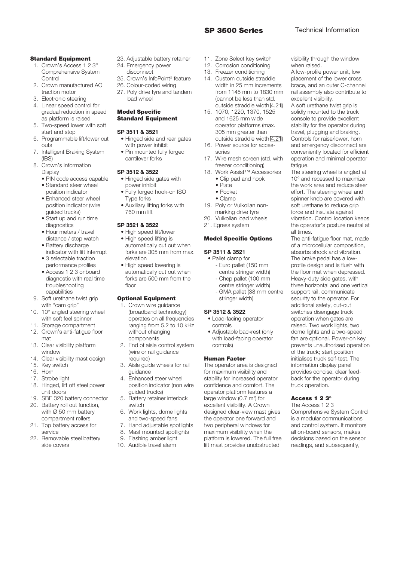#### **Standard Equipment**

- 1. Crown's Access 1 2 3® Comprehensive System Control
- 2. Crown manufactured AC traction motor
- 3. Electronic steering
- 4. Linear speed control for gradual reduction in speed as platform is raised
- 5. Two-speed lower with soft start and stop
- 6. Programmable lift/lower cut outs
- 7. Intelligent Braking System (IBS)
- 8. Crown's Information Display
	- PIN code access capable
	- Standard steer wheel position indicator
	- Enhanced steer wheel position indicator (wire guided trucks)
	- Start up and run time diagnostics
	- Hour meters / travel distance / stop watch
	- Battery discharge indicator with lift interrupt
	- 3 selectable traction performance profiles
	- Access 1 2 3 onboard diagnostic with real time troubleshooting capabilities
- 9. Soft urethane twist grip with "cam grip"
- 10. 10° angled steering wheel with soft feel spinner
- 11. Storage compartment 12. Crown's anti-fatigue floor mat
- 13. Clear visibility platform window
- 14. Clear visibility mast design
- 15. Key switch
- 16. Horn
- 17. Strobe light
- 18. Hinged, lift off steel power unit doors
- 19. SBE 320 battery connector
- 20. Battery roll out function, with  $\overline{\varnothing}$  50 mm battery compartment rollers
- 21. Top battery access for service
- 22. Removable steel battery side covers
- 23. Adjustable battery retainer 24. Emergency power
- disconnect
- 25. Crown's InfoPoint ® feature
- 26. Colour-coded wiring
- 27. Poly drive tyre and tandem load wheel

#### **Model Specific Standard Equipment**

#### **SP 3511 & 3521**

- Hinged side and rear gates with power inhibit
- Pin mounted fully forged cantilever forks

#### **SP 3512 & 3522**

- Hinged side gates with power inhibit
- Fully forged hook-on ISO Type forks
- Auxiliary lifting forks with 760 mm lift

#### **SP 3521 & 3522**

- High speed lift/lower • High speed lifting is automatically cut out when forks are 305 mm from max. elevation
- High speed lowering is automatically cut out when forks are 500 mm from the floor

#### **Optional Equipment**

- 1. Crown wire guidance (broadband technology) operates on all frequencies ranging from 5.2 to 10 kHz without changing components
- 2. End of aisle control system (wire or rail guidance
- required) 3. Aisle guide wheels for rail guidance
- 4. Enhanced steer wheel position indicator (non wire guided trucks)
- 5. Battery retainer interlock switch
- 6. Work lights, dome lights and two-speed fans
- 7. Hand adjustable spotlights
- 8. Mast mounted spotlights
- 9. Flashing amber light
- 10. Audible travel alarm
- 11. Zone Select key switch
- 12. Corrosion conditioning
- 13. Freezer conditioning
- 14. Custom outside straddle width in 25 mm increments from 1145 mm to 1830 mm (cannot be less than std. outside straddle width  $\overline{4.21}$
- 15. 1070, 1220, 1370, 1525 and 1625 mm wide operator platforms (max. 305 mm greater than outside straddle width 4.21)
- 16. Power source for accessories
- 17. Wire mesh screen (std. with freezer conditioning)
- 18. Work Assist™ Accessories • Clip pad and hook
	- Plate
	- Pocket • Clamp
- 19. Poly or Vulkollan non-
- marking drive tyre
- 20. Vulkollan load wheels
- 21. Egress system

### **Model Specific Options**

#### **SP 3511 & 3521**

- Pallet clamp for
	- Euro pallet (150 mm centre stringer width) - Chep pallet (100 mm
	- centre stringer width) - GMA pallet (38 mm centre stringer width)

#### **SP 3512 & 3522**

- Load-facing operator controls
- Adjustable backrest (only with load-facing operator controls)

#### **Human Factor**

The operator area is designed for maximum visibility and stability for increased operator confidence and comfort. The operator platform features a large window  $(0.7 \text{ m}^2)$  for excellent visibility. A Crown designed clear-view mast gives the operator one forward and two peripheral windows for maximum visibility when the platform is lowered. The full free lift mast provides unobstructed

visibility through the window when raised.

A low-profile power unit, low placement of the lower cross brace, and an outer C-channel rail assembly also contribute to excellent visibility.

A soft urethane twist grip is solidly mounted to the truck console to provide excellent stability for the operator during travel, plugging and braking. Controls for raise/lower, horn and emergency disconnect are conveniently located for efficient operation and minimal operator fatique.

The steering wheel is angled at 10° and recessed to maximize the work area and reduce steer effort. The steering wheel and spinner knob are covered with soft urethane to reduce grip force and insulate against vibration. Control location keeps the operator's posture neutral at all times.

The anti-fatigue floor mat, made of a microcellular composition, absorbs shock and vibration. The brake pedal has a lowprofile design and is flush with the floor mat when depressed. Heavy-duty side gates, with three horizontal and one vertical support rail, communicate security to the operator. For additional safety, cut-out switches disengage truck operation when gates are raised. Two work lights, two dome lights and a two-speed fan are optional. Power-on key prevents unauthorised operation of the truck; start position initialises truck self-test. The information display panel provides concise, clear feedback for the operator during truck operation.

#### **Access 1 2 3®**

The Access 1 2 3 Comprehensive System Control is a modular communications and control system. It monitors all on-board sensors, makes decisions based on the sensor readings, and subsequently,